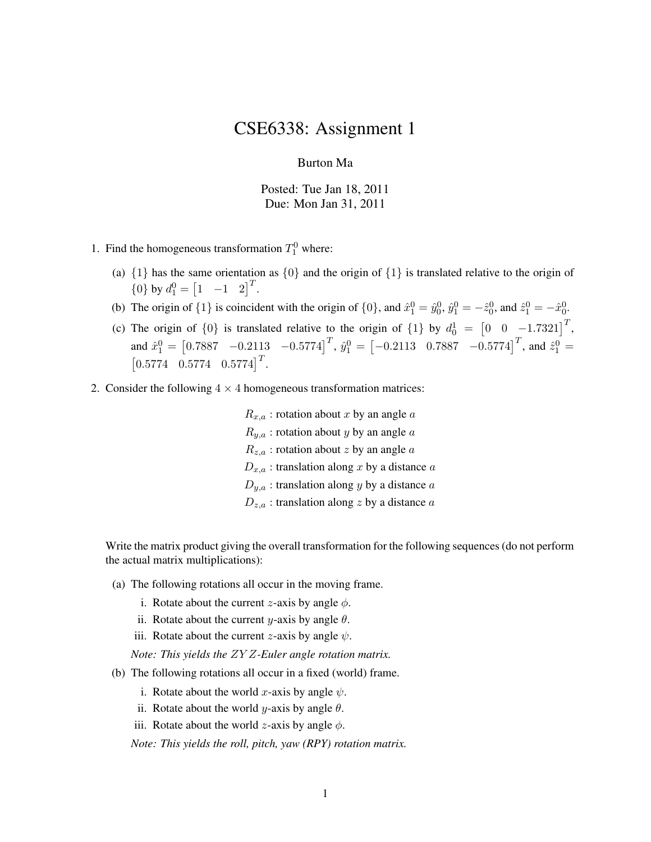## CSE6338: Assignment 1

## Burton Ma

Posted: Tue Jan 18, 2011 Due: Mon Jan 31, 2011

- 1. Find the homogeneous transformation  $T_1^0$  where:
	- (a)  $\{1\}$  has the same orientation as  $\{0\}$  and the origin of  $\{1\}$  is translated relative to the origin of  ${0}$  by  $d_1^0 = \begin{bmatrix} 1 & -1 & 2 \end{bmatrix}^T$ .
	- (b) The origin of  $\{1\}$  is coincident with the origin of  $\{0\}$ , and  $\hat{x}_1^0 = \hat{y}_0^0$ ,  $\hat{y}_1^0 = -\hat{z}_0^0$ , and  $\hat{z}_1^0 = -\hat{x}_0^0$ .
	- (c) The origin of  $\{0\}$  is translated relative to the origin of  $\{1\}$  by  $d_0^1 = \begin{bmatrix} 0 & 0 & -1.7321 \end{bmatrix}^T$ , and  $\hat{x}_1^0 = \begin{bmatrix} 0.7887 & -0.2113 & -0.5774 \end{bmatrix}^T$ ,  $\hat{y}_1^0 = \begin{bmatrix} -0.2113 & 0.7887 & -0.5774 \end{bmatrix}^T$ , and  $\hat{z}_1^0 =$  $\begin{bmatrix} 0.5774 & 0.5774 & 0.5774 \end{bmatrix}^T$ .
- 2. Consider the following  $4 \times 4$  homogeneous transformation matrices:

 $R_{x,a}$ : rotation about x by an angle a  $R_{y,a}$ : rotation about y by an angle a  $R_{z,a}$ : rotation about z by an angle  $a$  $D_{x,a}$ : translation along x by a distance a  $D_{y,a}$ : translation along y by a distance a  $D_{z,a}$ : translation along z by a distance a

Write the matrix product giving the overall transformation for the following sequences (do not perform the actual matrix multiplications):

- (a) The following rotations all occur in the moving frame.
	- i. Rotate about the current *z*-axis by angle  $\phi$ .
	- ii. Rotate about the current y-axis by angle  $\theta$ .
	- iii. Rotate about the current *z*-axis by angle  $\psi$ .

*Note: This yields the* ZY Z*-Euler angle rotation matrix.*

- (b) The following rotations all occur in a fixed (world) frame.
	- i. Rotate about the world x-axis by angle  $\psi$ .
	- ii. Rotate about the world *y*-axis by angle  $\theta$ .
	- iii. Rotate about the world *z*-axis by angle  $\phi$ .

*Note: This yields the roll, pitch, yaw (RPY) rotation matrix.*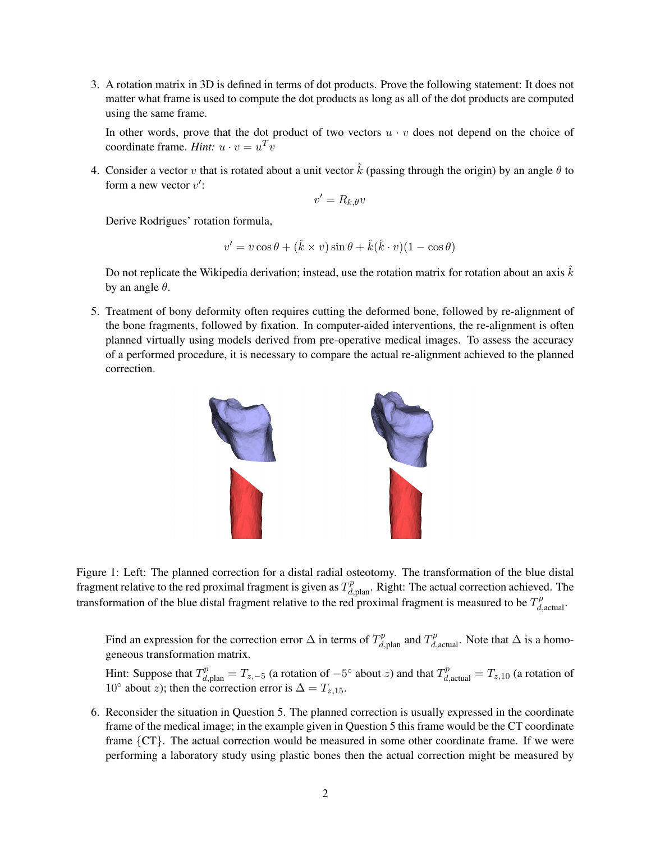3. A rotation matrix in 3D is defined in terms of dot products. Prove the following statement: It does not matter what frame is used to compute the dot products as long as all of the dot products are computed using the same frame.

In other words, prove that the dot product of two vectors  $u \cdot v$  does not depend on the choice of coordinate frame. *Hint*:  $u \cdot v = u^T v$ 

4. Consider a vector v that is rotated about a unit vector  $\hat{k}$  (passing through the origin) by an angle  $\theta$  to form a new vector  $v'$ :

$$
v' = R_{k,\theta}v
$$

Derive Rodrigues' rotation formula,

$$
v' = v \cos \theta + (\hat{k} \times v) \sin \theta + \hat{k}(\hat{k} \cdot v)(1 - \cos \theta)
$$

Do not replicate the Wikipedia derivation; instead, use the rotation matrix for rotation about an axis  $k$ by an angle  $\theta$ .

5. Treatment of bony deformity often requires cutting the deformed bone, followed by re-alignment of the bone fragments, followed by fixation. In computer-aided interventions, the re-alignment is often planned virtually using models derived from pre-operative medical images. To assess the accuracy of a performed procedure, it is necessary to compare the actual re-alignment achieved to the planned correction.



Figure 1: Left: The planned correction for a distal radial osteotomy. The transformation of the blue distal fragment relative to the red proximal fragment is given as  $T_{d,\text{plan}}^p$ . Right: The actual correction achieved. The transformation of the blue distal fragment relative to the red proximal fragment is measured to be  $T_{d,\text{actual}}^p$ .

Find an expression for the correction error  $\Delta$  in terms of  $T^p_{d,p}$  and  $T^p_{d,\text{actual}}$ . Note that  $\Delta$  is a homogeneous transformation matrix.

Hint: Suppose that  $T_{d,\text{plan}}^p = T_{z,-5}$  (a rotation of  $-5^{\circ}$  about z) and that  $T_{d,\text{actual}}^p = T_{z,10}$  (a rotation of 10° about z); then the correction error is  $\Delta = T_{z,15}$ .

6. Reconsider the situation in Question 5. The planned correction is usually expressed in the coordinate frame of the medical image; in the example given in Question 5 this frame would be the CT coordinate frame {CT}. The actual correction would be measured in some other coordinate frame. If we were performing a laboratory study using plastic bones then the actual correction might be measured by